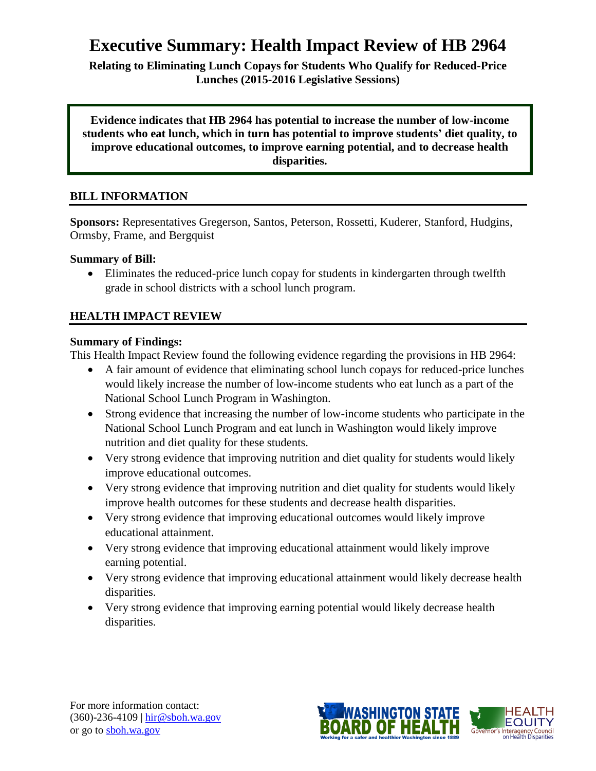# **Executive Summary: Health Impact Review of HB 2964**

**Relating to Eliminating Lunch Copays for Students Who Qualify for Reduced-Price Lunches (2015-2016 Legislative Sessions)**

**Evidence indicates that HB 2964 has potential to increase the number of low-income students who eat lunch, which in turn has potential to improve students' diet quality, to improve educational outcomes, to improve earning potential, and to decrease health disparities.**

## **BILL INFORMATION**

**Sponsors:** Representatives Gregerson, Santos, Peterson, Rossetti, Kuderer, Stanford, Hudgins, Ormsby, Frame, and Bergquist

#### **Summary of Bill:**

 Eliminates the reduced-price lunch copay for students in kindergarten through twelfth grade in school districts with a school lunch program.

#### **HEALTH IMPACT REVIEW**

#### **Summary of Findings:**

This Health Impact Review found the following evidence regarding the provisions in HB 2964:

- A fair amount of evidence that eliminating school lunch copays for reduced-price lunches would likely increase the number of low-income students who eat lunch as a part of the National School Lunch Program in Washington.
- Strong evidence that increasing the number of low-income students who participate in the National School Lunch Program and eat lunch in Washington would likely improve nutrition and diet quality for these students.
- Very strong evidence that improving nutrition and diet quality for students would likely improve educational outcomes.
- Very strong evidence that improving nutrition and diet quality for students would likely improve health outcomes for these students and decrease health disparities.
- Very strong evidence that improving educational outcomes would likely improve educational attainment.
- Very strong evidence that improving educational attainment would likely improve earning potential.
- Very strong evidence that improving educational attainment would likely decrease health disparities.
- Very strong evidence that improving earning potential would likely decrease health disparities.

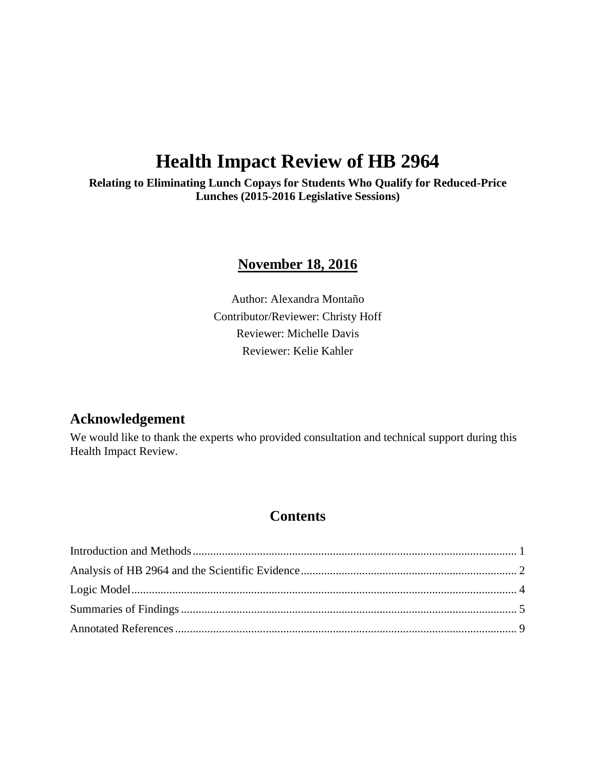# **Health Impact Review of HB 2964**

**Relating to Eliminating Lunch Copays for Students Who Qualify for Reduced-Price Lunches (2015-2016 Legislative Sessions)**

# **November 18, 2016**

Author: Alexandra Montaño Contributor/Reviewer: Christy Hoff Reviewer: Michelle Davis Reviewer: Kelie Kahler

# **Acknowledgement**

We would like to thank the experts who provided consultation and technical support during this Health Impact Review.

## **Contents**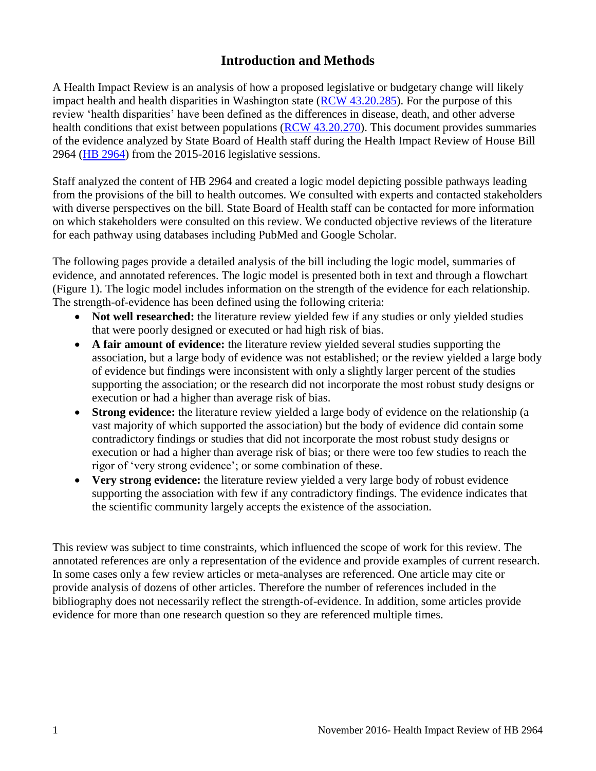# **Introduction and Methods**

<span id="page-2-0"></span>A Health Impact Review is an analysis of how a proposed legislative or budgetary change will likely impact health and health disparities in Washington state [\(RCW 43.20.285\)](http://apps.leg.wa.gov/rcw/default.aspx?cite=43.20.285). For the purpose of this review 'health disparities' have been defined as the differences in disease, death, and other adverse health conditions that exist between populations [\(RCW 43.20.270\)](http://apps.leg.wa.gov/rcw/default.aspx?cite=43.20.270). This document provides summaries of the evidence analyzed by State Board of Health staff during the Health Impact Review of House Bill 2964 [\(HB 2964\)](http://app.leg.wa.gov/billinfo/summary.aspx?bill=2964&year=2015) from the 2015-2016 legislative sessions.

Staff analyzed the content of HB 2964 and created a logic model depicting possible pathways leading from the provisions of the bill to health outcomes. We consulted with experts and contacted stakeholders with diverse perspectives on the bill. State Board of Health staff can be contacted for more information on which stakeholders were consulted on this review. We conducted objective reviews of the literature for each pathway using databases including PubMed and Google Scholar.

The following pages provide a detailed analysis of the bill including the logic model, summaries of evidence, and annotated references. The logic model is presented both in text and through a flowchart (Figure 1). The logic model includes information on the strength of the evidence for each relationship. The strength-of-evidence has been defined using the following criteria:

- Not well researched: the literature review yielded few if any studies or only yielded studies that were poorly designed or executed or had high risk of bias.
- **A fair amount of evidence:** the literature review yielded several studies supporting the association, but a large body of evidence was not established; or the review yielded a large body of evidence but findings were inconsistent with only a slightly larger percent of the studies supporting the association; or the research did not incorporate the most robust study designs or execution or had a higher than average risk of bias.
- **Strong evidence:** the literature review yielded a large body of evidence on the relationship (a vast majority of which supported the association) but the body of evidence did contain some contradictory findings or studies that did not incorporate the most robust study designs or execution or had a higher than average risk of bias; or there were too few studies to reach the rigor of 'very strong evidence'; or some combination of these.
- **Very strong evidence:** the literature review yielded a very large body of robust evidence supporting the association with few if any contradictory findings. The evidence indicates that the scientific community largely accepts the existence of the association.

This review was subject to time constraints, which influenced the scope of work for this review. The annotated references are only a representation of the evidence and provide examples of current research. In some cases only a few review articles or meta-analyses are referenced. One article may cite or provide analysis of dozens of other articles. Therefore the number of references included in the bibliography does not necessarily reflect the strength-of-evidence. In addition, some articles provide evidence for more than one research question so they are referenced multiple times.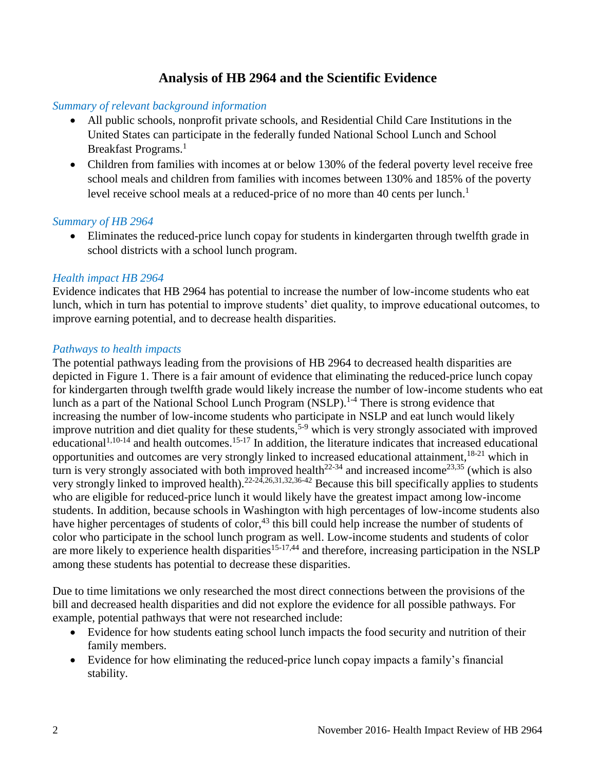## **Analysis of HB 2964 and the Scientific Evidence**

#### <span id="page-3-0"></span>*Summary of relevant background information*

- All public schools, nonprofit private schools, and Residential Child Care Institutions in the United States can participate in the federally funded National School Lunch and School Breakfast Programs.<sup>[1](#page-10-1)</sup>
- Children from families with incomes at or below 130% of the federal poverty level receive free school meals and children from families with incomes between 130% and 185% of the poverty level receive school meals at a reduced-price of no more than 40 cents per lunch.<sup>[1](#page-10-1)</sup>

#### *Summary of HB 2964*

 Eliminates the reduced-price lunch copay for students in kindergarten through twelfth grade in school districts with a school lunch program.

#### *Health impact HB 2964*

Evidence indicates that HB 2964 has potential to increase the number of low-income students who eat lunch, which in turn has potential to improve students' diet quality, to improve educational outcomes, to improve earning potential, and to decrease health disparities.

#### *Pathways to health impacts*

The potential pathways leading from the provisions of HB 2964 to decreased health disparities are depicted in Figure 1. There is a fair amount of evidence that eliminating the reduced-price lunch copay for kindergarten through twelfth grade would likely increase the number of low-income students who eat lunch as a part of the National School Lunch Program (NSLP).<sup>[1-4](#page-10-1)</sup> There is strong evidence that increasing the number of low-income students who participate in NSLP and eat lunch would likely improve nutrition and diet quality for these students,<sup>[5-9](#page-11-0)</sup> which is very strongly associated with improved educational<sup>[1,](#page-10-1)[10-14](#page-13-0)</sup> and health outcomes.<sup>[15-17](#page-15-0)</sup> In addition, the literature indicates that increased educational opportunities and outcomes are very strongly linked to increased educational attainment,  $18-21$  which in turn is very strongly associated with both improved health<sup>[22-34](#page-17-0)</sup> and increased income<sup>[23](#page-17-1)[,35](#page-20-0)</sup> (which is also very strongly linked to improved health).[22-24](#page-17-0)[,26](#page-18-0)[,31](#page-19-0)[,32](#page-19-1)[,36-42](#page-20-1) Because this bill specifically applies to students who are eligible for reduced-price lunch it would likely have the greatest impact among low-income students. In addition, because schools in Washington with high percentages of low-income students also have higher percentages of students of color,<sup>[43](#page-22-0)</sup> this bill could help increase the number of students of color who participate in the school lunch program as well. Low-income students and students of color are more likely to experience health disparities<sup>[15-17](#page-15-0)[,44](#page-22-1)</sup> and therefore, increasing participation in the NSLP among these students has potential to decrease these disparities.

Due to time limitations we only researched the most direct connections between the provisions of the bill and decreased health disparities and did not explore the evidence for all possible pathways. For example, potential pathways that were not researched include:

- Evidence for how students eating school lunch impacts the food security and nutrition of their family members.
- Evidence for how eliminating the reduced-price lunch copay impacts a family's financial stability.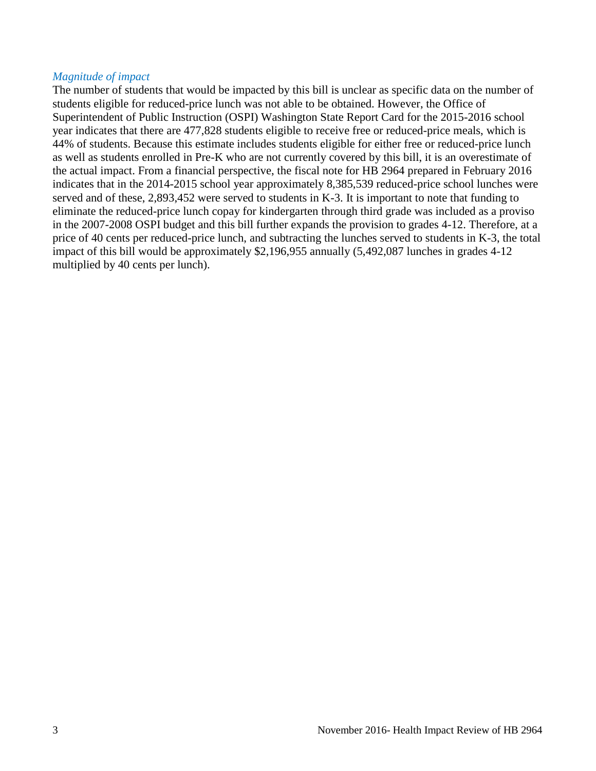#### *Magnitude of impact*

The number of students that would be impacted by this bill is unclear as specific data on the number of students eligible for reduced-price lunch was not able to be obtained. However, the Office of Superintendent of Public Instruction (OSPI) Washington State Report Card for the 2015-2016 school year indicates that there are 477,828 students eligible to receive free or reduced-price meals, which is 44% of students. Because this estimate includes students eligible for either free or reduced-price lunch as well as students enrolled in Pre-K who are not currently covered by this bill, it is an overestimate of the actual impact. From a financial perspective, the fiscal note for HB 2964 prepared in February 2016 indicates that in the 2014-2015 school year approximately 8,385,539 reduced-price school lunches were served and of these, 2,893,452 were served to students in K-3. It is important to note that funding to eliminate the reduced-price lunch copay for kindergarten through third grade was included as a proviso in the 2007-2008 OSPI budget and this bill further expands the provision to grades 4-12. Therefore, at a price of 40 cents per reduced-price lunch, and subtracting the lunches served to students in K-3, the total impact of this bill would be approximately \$2,196,955 annually (5,492,087 lunches in grades 4-12 multiplied by 40 cents per lunch).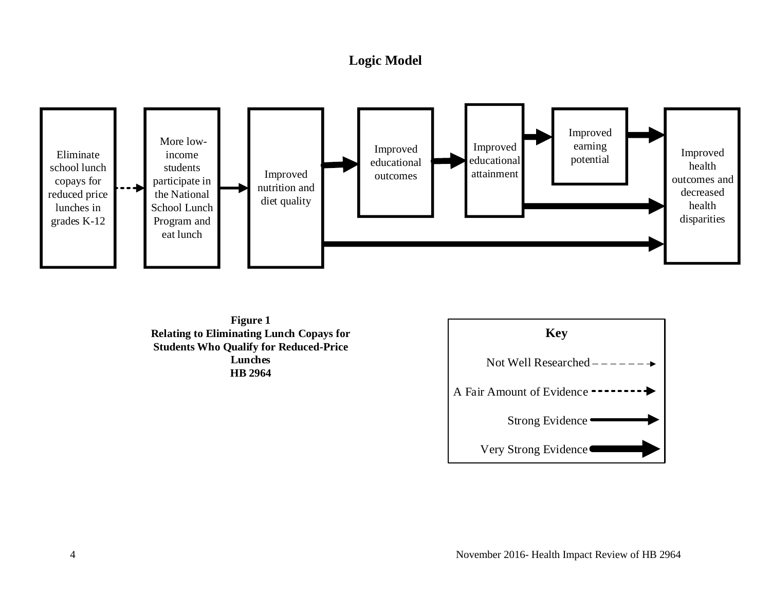# **Logic Model**



<span id="page-5-0"></span>**Figure 1 Relating to Eliminating Lunch Copays for Students Who Qualify for Reduced-Price Lunches HB 2964**

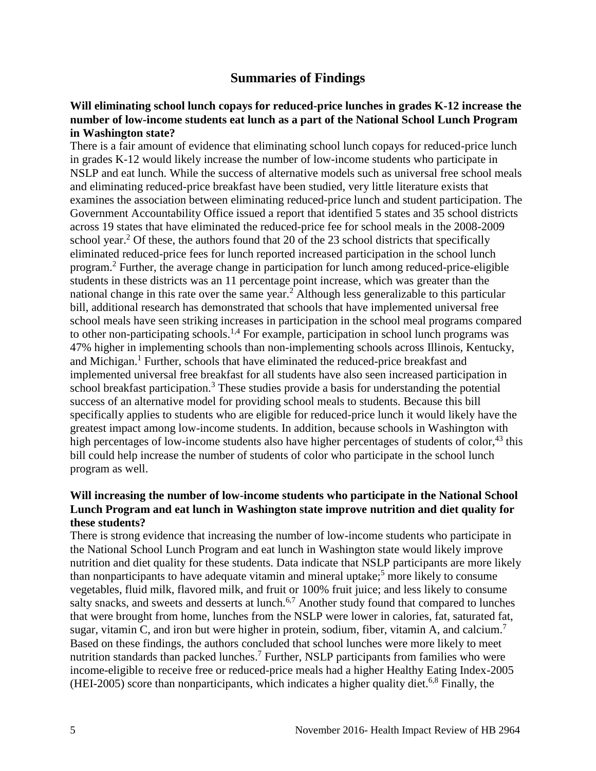## **Summaries of Findings**

#### <span id="page-6-0"></span>**Will eliminating school lunch copays for reduced-price lunches in grades K-12 increase the number of low-income students eat lunch as a part of the National School Lunch Program in Washington state?**

There is a fair amount of evidence that eliminating school lunch copays for reduced-price lunch in grades K-12 would likely increase the number of low-income students who participate in NSLP and eat lunch. While the success of alternative models such as universal free school meals and eliminating reduced-price breakfast have been studied, very little literature exists that examines the association between eliminating reduced-price lunch and student participation. The Government Accountability Office issued a report that identified 5 states and 35 school districts across 19 states that have eliminated the reduced-price fee for school meals in the 2008-2009 school year.<sup>[2](#page-10-2)</sup> Of these, the authors found that 20 of the 23 school districts that specifically eliminated reduced-price fees for lunch reported increased participation in the school lunch program. [2](#page-10-2) Further, the average change in participation for lunch among reduced-price-eligible students in these districts was an 11 percentage point increase, which was greater than the national change in this rate over the same year.<sup>[2](#page-10-2)</sup> Although less generalizable to this particular bill, additional research has demonstrated that schools that have implemented universal free school meals have seen striking increases in participation in the school meal programs compared to other non-participating schools.<sup>[1,](#page-10-1)[4](#page-11-1)</sup> For example, participation in school lunch programs was 47% higher in implementing schools than non-implementing schools across Illinois, Kentucky, and Michigan.[1](#page-10-1) Further, schools that have eliminated the reduced-price breakfast and implemented universal free breakfast for all students have also seen increased participation in school breakfast participation.<sup>[3](#page-10-3)</sup> These studies provide a basis for understanding the potential success of an alternative model for providing school meals to students. Because this bill specifically applies to students who are eligible for reduced-price lunch it would likely have the greatest impact among low-income students. In addition, because schools in Washington with high percentages of low-income students also have higher percentages of students of color,  $43$  this bill could help increase the number of students of color who participate in the school lunch program as well.

#### **Will increasing the number of low-income students who participate in the National School Lunch Program and eat lunch in Washington state improve nutrition and diet quality for these students?**

There is strong evidence that increasing the number of low-income students who participate in the National School Lunch Program and eat lunch in Washington state would likely improve nutrition and diet quality for these students. Data indicate that NSLP participants are more likely than nonparticipants to have adequate vitamin and mineral uptake;<sup>[5](#page-11-0)</sup> more likely to consume vegetables, fluid milk, flavored milk, and fruit or 100% fruit juice; and less likely to consume salty snacks, and sweets and desserts at lunch.<sup>[6,](#page-12-0)[7](#page-12-1)</sup> Another study found that compared to lunches that were brought from home, lunches from the NSLP were lower in calories, fat, saturated fat, sugar, vitamin C, and iron but were higher in protein, sodium, fiber, vitamin A, and calcium.<sup>[7](#page-12-1)</sup> Based on these findings, the authors concluded that school lunches were more likely to meet nutrition standards than packed lunches.<sup>[7](#page-12-1)</sup> Further, NSLP participants from families who were income-eligible to receive free or reduced-price meals had a higher Healthy Eating Index-2005  $(HEI-2005)$  score than nonparticipants, which indicates a higher quality diet.<sup>[6](#page-12-0)[,8](#page-12-2)</sup> Finally, the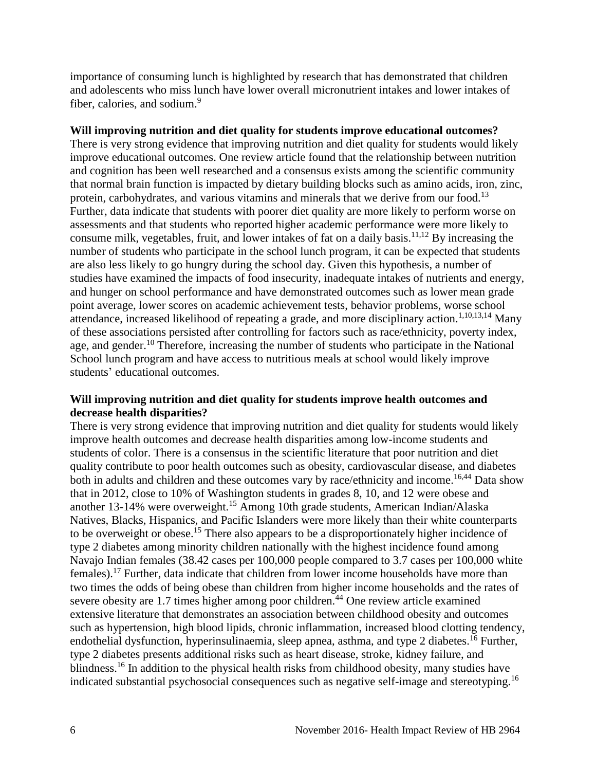importance of consuming lunch is highlighted by research that has demonstrated that children and adolescents who miss lunch have lower overall micronutrient intakes and lower intakes of fiber, calories, and sodium[.](#page-13-1) $9$ 

#### **Will improving nutrition and diet quality for students improve educational outcomes?**

There is very strong evidence that improving nutrition and diet quality for students would likely improve educational outcomes. One review article found that the relationship between nutrition and cognition has been well researched and a consensus exists among the scientific community that normal brain function is impacted by dietary building blocks such as amino acids, iron, zinc, protein, carbohydrates, and various vitamins and minerals that we derive from our food.<sup>[13](#page-14-0)</sup> Further, data indicate that students with poorer diet quality are more likely to perform worse on assessments and that students who reported higher academic performance were more likely to consume milk, vegetables, fruit, and lower intakes of fat on a daily basis.<sup>[11,](#page-14-1)[12](#page-14-2)</sup> By increasing the number of students who participate in the school lunch program, it can be expected that students are also less likely to go hungry during the school day. Given this hypothesis, a number of studies have examined the impacts of food insecurity, inadequate intakes of nutrients and energy, and hunger on school performance and have demonstrated outcomes such as lower mean grade point average, lower scores on academic achievement tests, behavior problems, worse school attendance, increased likelihood of repeating a grade, and more disciplinary action.<sup>[1](#page-10-1)[,10](#page-13-0)[,13](#page-14-0)[,14](#page-15-1)</sup> Many of these associations persisted after controlling for factors such as race/ethnicity, poverty index, age, and gender.<sup>[10](#page-13-0)</sup> Therefore, increasing the number of students who participate in the National School lunch program and have access to nutritious meals at school would likely improve students' educational outcomes.

#### **Will improving nutrition and diet quality for students improve health outcomes and decrease health disparities?**

There is very strong evidence that improving nutrition and diet quality for students would likely improve health outcomes and decrease health disparities among low-income students and students of color. There is a consensus in the scientific literature that poor nutrition and diet quality contribute to poor health outcomes such as obesity, cardiovascular disease, and diabetes both in adults and children and these outcomes vary by race/ethnicity and income.<sup>[16](#page-15-2)[,44](#page-22-1)</sup> Data show that in 2012, close to 10% of Washington students in grades 8, 10, and 12 were obese and another 13-14% were overweight.[15](#page-15-0) Among 10th grade students, American Indian/Alaska Natives, Blacks, Hispanics, and Pacific Islanders were more likely than their white counterparts to be overweight or obese.[15](#page-15-0) There also appears to be a disproportionately higher incidence of type 2 diabetes among minority children nationally with the highest incidence found among Navajo Indian females (38.42 cases per 100,000 people compared to 3.7 cases per 100,000 white females).[17](#page-16-1) Further, data indicate that children from lower income households have more than two times the odds of being obese than children from higher income households and the rates of severe obesity are 1.7 times higher among poor children.<sup>[44](#page-22-1)</sup> One review article examined extensive literature that demonstrates an association between childhood obesity and outcomes such as hypertension, high blood lipids, chronic inflammation, increased blood clotting tendency, endothelial dysfunction, hyperinsulinaemia, sleep apnea, asthma, and type 2 diabetes.<sup>[16](#page-15-2)</sup> Further, type 2 diabetes presents additional risks such as heart disease, stroke, kidney failure, and blindness.<sup>[16](#page-15-2)</sup> In addition to the physical health risks from childhood obesity, many studies have indicated substantial psychosocial consequences such as negative self-image and stereotyping.[16](#page-15-2)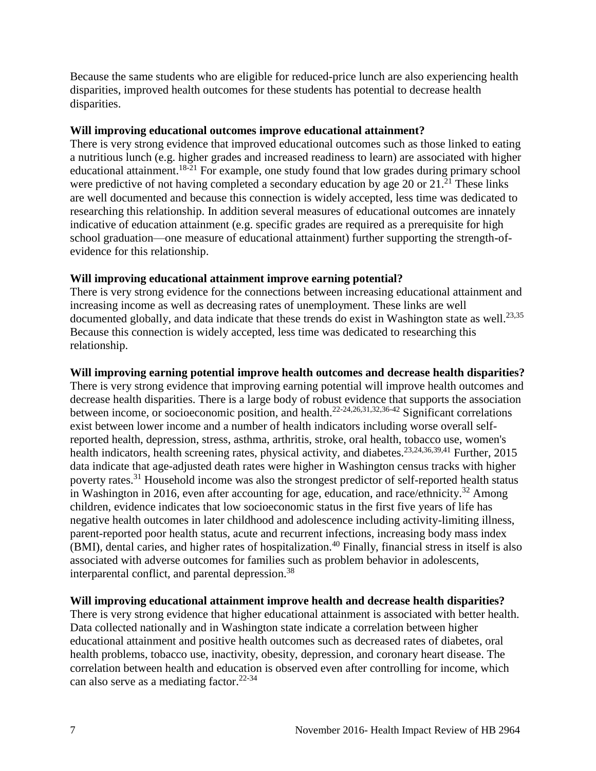Because the same students who are eligible for reduced-price lunch are also experiencing health disparities, improved health outcomes for these students has potential to decrease health disparities.

#### **Will improving educational outcomes improve educational attainment?**

There is very strong evidence that improved educational outcomes such as those linked to eating a nutritious lunch (e.g. higher grades and increased readiness to learn) are associated with higher educational attainment.<sup>[18-21](#page-16-0)</sup> For example, one study found that low grades during primary school were predictive of not having completed a secondary education by age 20 or  $21.^{21}$  $21.^{21}$  These links are well documented and because this connection is widely accepted, less time was dedicated to researching this relationship. In addition several measures of educational outcomes are innately indicative of education attainment (e.g. specific grades are required as a prerequisite for high school graduation—one measure of educational attainment) further supporting the strength-ofevidence for this relationship.

#### **Will improving educational attainment improve earning potential?**

There is very strong evidence for the connections between increasing educational attainment and increasing income as well as decreasing rates of unemployment. These links are well documented globally, and data indicate that these trends do exist in Washington state as well.<sup>[23](#page-17-1)[,35](#page-20-0)</sup> Because this connection is widely accepted, less time was dedicated to researching this relationship.

#### **Will improving earning potential improve health outcomes and decrease health disparities?**

There is very strong evidence that improving earning potential will improve health outcomes and decrease health disparities. There is a large body of robust evidence that supports the association between income, or socioeconomic position, and health.<sup>[22-24](#page-17-0)[,26](#page-18-0)[,31](#page-19-0)[,32](#page-19-1)[,36-42](#page-20-1)</sup> Significant correlations exist between lower income and a number of health indicators including worse overall selfreported health, depression, stress, asthma, arthritis, stroke, oral health, tobacco use, women's health indicators, health screening rates, physical activity, and diabetes.<sup>[23](#page-17-1)[,24](#page-17-3)[,36](#page-20-1)[,39](#page-21-0)[,41](#page-21-1)</sup> Further, 2015 data indicate that age-adjusted death rates were higher in Washington census tracks with higher poverty rates.<sup>[31](#page-19-0)</sup> Household income was also the strongest predictor of self-reported health status in Washington in 2016, even after accounting for age, education, and race/ethnicity.<sup>[32](#page-19-1)</sup> Among children, evidence indicates that low socioeconomic status in the first five years of life has negative health outcomes in later childhood and adolescence including activity-limiting illness, parent-reported poor health status, acute and recurrent infections, increasing body mass index  $(BMI)$ , dental caries, and higher rates of hospitalization.<sup>[40](#page-21-2)</sup> Finally, financial stress in itself is also associated with adverse outcomes for families such as problem behavior in adolescents, interparental conflict, and parental depression.<sup>[38](#page-20-2)</sup>

#### **Will improving educational attainment improve health and decrease health disparities?**

There is very strong evidence that higher educational attainment is associated with better health. Data collected nationally and in Washington state indicate a correlation between higher educational attainment and positive health outcomes such as decreased rates of diabetes, oral health problems, tobacco use, inactivity, obesity, depression, and coronary heart disease. The correlation between health and education is observed even after controlling for income, which can also serve as a mediating factor.<sup>[22-34](#page-17-0)</sup>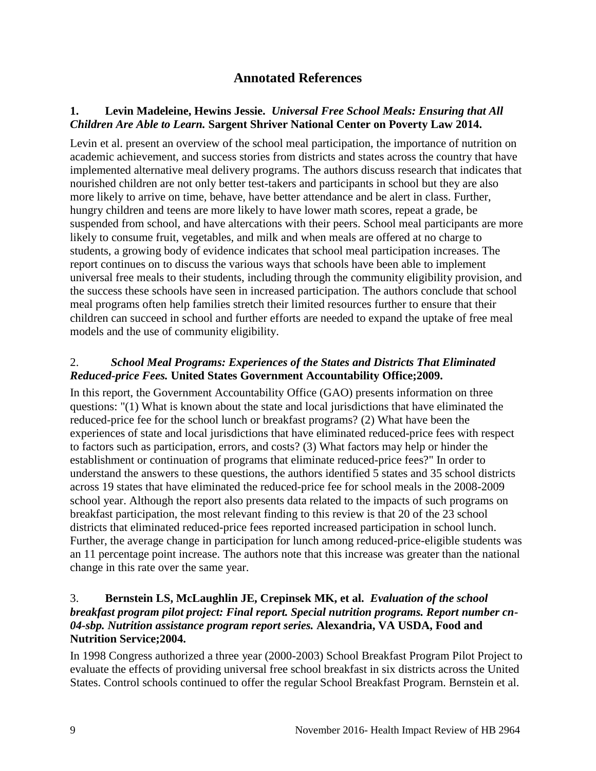## **Annotated References**

#### <span id="page-10-1"></span><span id="page-10-0"></span>**1. Levin Madeleine, Hewins Jessie.** *Universal Free School Meals: Ensuring that All Children Are Able to Learn.* **Sargent Shriver National Center on Poverty Law 2014.**

Levin et al. present an overview of the school meal participation, the importance of nutrition on academic achievement, and success stories from districts and states across the country that have implemented alternative meal delivery programs. The authors discuss research that indicates that nourished children are not only better test-takers and participants in school but they are also more likely to arrive on time, behave, have better attendance and be alert in class. Further, hungry children and teens are more likely to have lower math scores, repeat a grade, be suspended from school, and have altercations with their peers. School meal participants are more likely to consume fruit, vegetables, and milk and when meals are offered at no charge to students, a growing body of evidence indicates that school meal participation increases. The report continues on to discuss the various ways that schools have been able to implement universal free meals to their students, including through the community eligibility provision, and the success these schools have seen in increased participation. The authors conclude that school meal programs often help families stretch their limited resources further to ensure that their children can succeed in school and further efforts are needed to expand the uptake of free meal models and the use of community eligibility.

#### <span id="page-10-2"></span>2.*School Meal Programs: Experiences of the States and Districts That Eliminated Reduced-price Fees.* **United States Government Accountability Office;2009.**

In this report, the Government Accountability Office (GAO) presents information on three questions: "(1) What is known about the state and local jurisdictions that have eliminated the reduced-price fee for the school lunch or breakfast programs? (2) What have been the experiences of state and local jurisdictions that have eliminated reduced-price fees with respect to factors such as participation, errors, and costs? (3) What factors may help or hinder the establishment or continuation of programs that eliminate reduced-price fees?" In order to understand the answers to these questions, the authors identified 5 states and 35 school districts across 19 states that have eliminated the reduced-price fee for school meals in the 2008-2009 school year. Although the report also presents data related to the impacts of such programs on breakfast participation, the most relevant finding to this review is that 20 of the 23 school districts that eliminated reduced-price fees reported increased participation in school lunch. Further, the average change in participation for lunch among reduced-price-eligible students was an 11 percentage point increase. The authors note that this increase was greater than the national change in this rate over the same year.

#### <span id="page-10-3"></span>3. **Bernstein LS, McLaughlin JE, Crepinsek MK, et al.** *Evaluation of the school breakfast program pilot project: Final report. Special nutrition programs. Report number cn-04-sbp. Nutrition assistance program report series.* **Alexandria, VA USDA, Food and Nutrition Service;2004.**

In 1998 Congress authorized a three year (2000-2003) School Breakfast Program Pilot Project to evaluate the effects of providing universal free school breakfast in six districts across the United States. Control schools continued to offer the regular School Breakfast Program. Bernstein et al.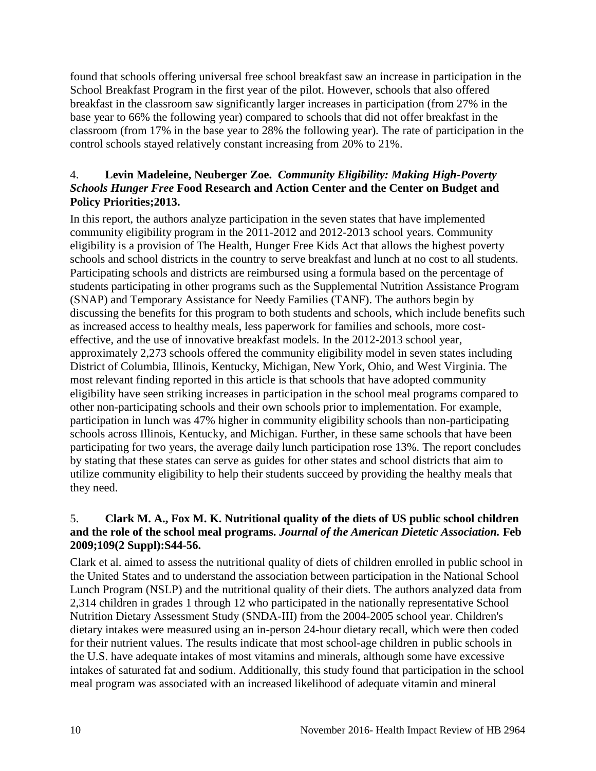found that schools offering universal free school breakfast saw an increase in participation in the School Breakfast Program in the first year of the pilot. However, schools that also offered breakfast in the classroom saw significantly larger increases in participation (from 27% in the base year to 66% the following year) compared to schools that did not offer breakfast in the classroom (from 17% in the base year to 28% the following year). The rate of participation in the control schools stayed relatively constant increasing from 20% to 21%.

#### <span id="page-11-1"></span>4. **Levin Madeleine, Neuberger Zoe.** *Community Eligibility: Making High-Poverty Schools Hunger Free* **Food Research and Action Center and the Center on Budget and Policy Priorities;2013.**

In this report, the authors analyze participation in the seven states that have implemented community eligibility program in the 2011-2012 and 2012-2013 school years. Community eligibility is a provision of The Health, Hunger Free Kids Act that allows the highest poverty schools and school districts in the country to serve breakfast and lunch at no cost to all students. Participating schools and districts are reimbursed using a formula based on the percentage of students participating in other programs such as the Supplemental Nutrition Assistance Program (SNAP) and Temporary Assistance for Needy Families (TANF). The authors begin by discussing the benefits for this program to both students and schools, which include benefits such as increased access to healthy meals, less paperwork for families and schools, more costeffective, and the use of innovative breakfast models. In the 2012-2013 school year, approximately 2,273 schools offered the community eligibility model in seven states including District of Columbia, Illinois, Kentucky, Michigan, New York, Ohio, and West Virginia. The most relevant finding reported in this article is that schools that have adopted community eligibility have seen striking increases in participation in the school meal programs compared to other non-participating schools and their own schools prior to implementation. For example, participation in lunch was 47% higher in community eligibility schools than non-participating schools across Illinois, Kentucky, and Michigan. Further, in these same schools that have been participating for two years, the average daily lunch participation rose 13%. The report concludes by stating that these states can serve as guides for other states and school districts that aim to utilize community eligibility to help their students succeed by providing the healthy meals that they need.

#### <span id="page-11-0"></span>5. **Clark M. A., Fox M. K. Nutritional quality of the diets of US public school children and the role of the school meal programs.** *Journal of the American Dietetic Association.* **Feb 2009;109(2 Suppl):S44-56.**

Clark et al. aimed to assess the nutritional quality of diets of children enrolled in public school in the United States and to understand the association between participation in the National School Lunch Program (NSLP) and the nutritional quality of their diets. The authors analyzed data from 2,314 children in grades 1 through 12 who participated in the nationally representative School Nutrition Dietary Assessment Study (SNDA-III) from the 2004-2005 school year. Children's dietary intakes were measured using an in-person 24-hour dietary recall, which were then coded for their nutrient values. The results indicate that most school-age children in public schools in the U.S. have adequate intakes of most vitamins and minerals, although some have excessive intakes of saturated fat and sodium. Additionally, this study found that participation in the school meal program was associated with an increased likelihood of adequate vitamin and mineral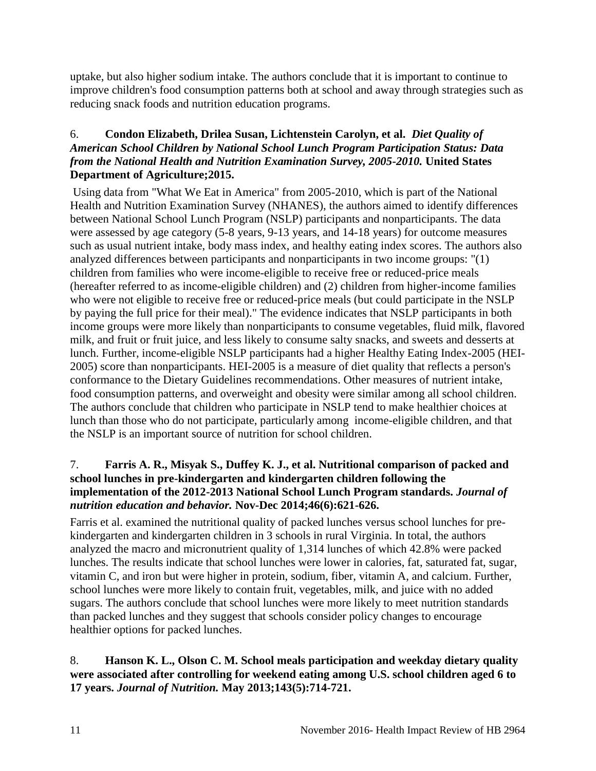uptake, but also higher sodium intake. The authors conclude that it is important to continue to improve children's food consumption patterns both at school and away through strategies such as reducing snack foods and nutrition education programs.

#### <span id="page-12-0"></span>6. **Condon Elizabeth, Drilea Susan, Lichtenstein Carolyn, et al.** *Diet Quality of American School Children by National School Lunch Program Participation Status: Data from the National Health and Nutrition Examination Survey, 2005-2010.* **United States Department of Agriculture;2015.**

Using data from "What We Eat in America" from 2005-2010, which is part of the National Health and Nutrition Examination Survey (NHANES), the authors aimed to identify differences between National School Lunch Program (NSLP) participants and nonparticipants. The data were assessed by age category (5-8 years, 9-13 years, and 14-18 years) for outcome measures such as usual nutrient intake, body mass index, and healthy eating index scores. The authors also analyzed differences between participants and nonparticipants in two income groups: "(1) children from families who were income-eligible to receive free or reduced-price meals (hereafter referred to as income-eligible children) and (2) children from higher-income families who were not eligible to receive free or reduced-price meals (but could participate in the NSLP by paying the full price for their meal)." The evidence indicates that NSLP participants in both income groups were more likely than nonparticipants to consume vegetables, fluid milk, flavored milk, and fruit or fruit juice, and less likely to consume salty snacks, and sweets and desserts at lunch. Further, income-eligible NSLP participants had a higher Healthy Eating Index-2005 (HEI-2005) score than nonparticipants. HEI-2005 is a measure of diet quality that reflects a person's conformance to the Dietary Guidelines recommendations. Other measures of nutrient intake, food consumption patterns, and overweight and obesity were similar among all school children. The authors conclude that children who participate in NSLP tend to make healthier choices at lunch than those who do not participate, particularly among income-eligible children, and that the NSLP is an important source of nutrition for school children.

#### <span id="page-12-1"></span>7. **Farris A. R., Misyak S., Duffey K. J., et al. Nutritional comparison of packed and school lunches in pre-kindergarten and kindergarten children following the implementation of the 2012-2013 National School Lunch Program standards.** *Journal of nutrition education and behavior.* **Nov-Dec 2014;46(6):621-626.**

Farris et al. examined the nutritional quality of packed lunches versus school lunches for prekindergarten and kindergarten children in 3 schools in rural Virginia. In total, the authors analyzed the macro and micronutrient quality of 1,314 lunches of which 42.8% were packed lunches. The results indicate that school lunches were lower in calories, fat, saturated fat, sugar, vitamin C, and iron but were higher in protein, sodium, fiber, vitamin A, and calcium. Further, school lunches were more likely to contain fruit, vegetables, milk, and juice with no added sugars. The authors conclude that school lunches were more likely to meet nutrition standards than packed lunches and they suggest that schools consider policy changes to encourage healthier options for packed lunches.

#### <span id="page-12-2"></span>8. **Hanson K. L., Olson C. M. School meals participation and weekday dietary quality were associated after controlling for weekend eating among U.S. school children aged 6 to 17 years.** *Journal of Nutrition.* **May 2013;143(5):714-721.**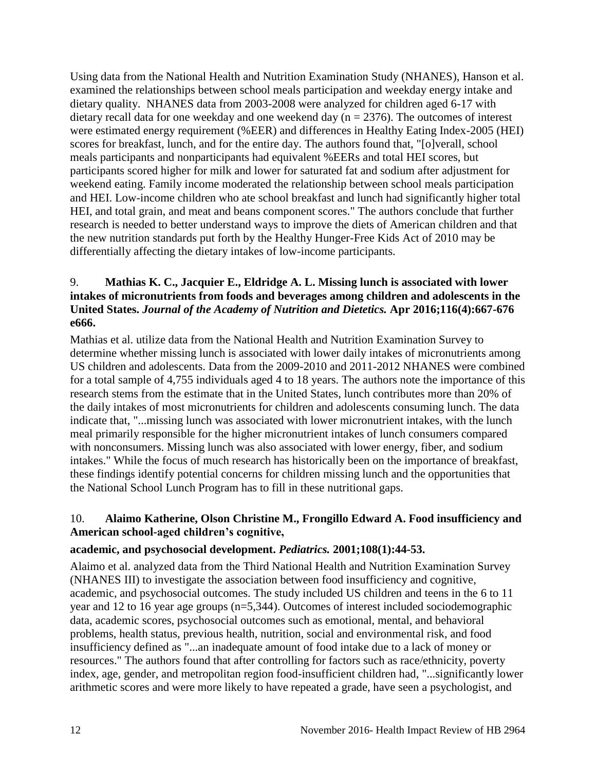Using data from the National Health and Nutrition Examination Study (NHANES), Hanson et al. examined the relationships between school meals participation and weekday energy intake and dietary quality. NHANES data from 2003-2008 were analyzed for children aged 6-17 with dietary recall data for one weekday and one weekend day ( $n = 2376$ ). The outcomes of interest were estimated energy requirement (%EER) and differences in Healthy Eating Index-2005 (HEI) scores for breakfast, lunch, and for the entire day. The authors found that, "[o]verall, school meals participants and nonparticipants had equivalent %EERs and total HEI scores, but participants scored higher for milk and lower for saturated fat and sodium after adjustment for weekend eating. Family income moderated the relationship between school meals participation and HEI. Low-income children who ate school breakfast and lunch had significantly higher total HEI, and total grain, and meat and beans component scores." The authors conclude that further research is needed to better understand ways to improve the diets of American children and that the new nutrition standards put forth by the Healthy Hunger-Free Kids Act of 2010 may be differentially affecting the dietary intakes of low-income participants.

#### <span id="page-13-1"></span>9. **Mathias K. C., Jacquier E., Eldridge A. L. Missing lunch is associated with lower intakes of micronutrients from foods and beverages among children and adolescents in the United States.** *Journal of the Academy of Nutrition and Dietetics.* **Apr 2016;116(4):667-676 e666.**

Mathias et al. utilize data from the National Health and Nutrition Examination Survey to determine whether missing lunch is associated with lower daily intakes of micronutrients among US children and adolescents. Data from the 2009-2010 and 2011-2012 NHANES were combined for a total sample of 4,755 individuals aged 4 to 18 years. The authors note the importance of this research stems from the estimate that in the United States, lunch contributes more than 20% of the daily intakes of most micronutrients for children and adolescents consuming lunch. The data indicate that, "...missing lunch was associated with lower micronutrient intakes, with the lunch meal primarily responsible for the higher micronutrient intakes of lunch consumers compared with nonconsumers. Missing lunch was also associated with lower energy, fiber, and sodium intakes." While the focus of much research has historically been on the importance of breakfast, these findings identify potential concerns for children missing lunch and the opportunities that the National School Lunch Program has to fill in these nutritional gaps.

## <span id="page-13-0"></span>10. **Alaimo Katherine, Olson Christine M., Frongillo Edward A. Food insufficiency and American school-aged children's cognitive,**

## **academic, and psychosocial development.** *Pediatrics.* **2001;108(1):44-53.**

Alaimo et al. analyzed data from the Third National Health and Nutrition Examination Survey (NHANES III) to investigate the association between food insufficiency and cognitive, academic, and psychosocial outcomes. The study included US children and teens in the 6 to 11 year and 12 to 16 year age groups (n=5,344). Outcomes of interest included sociodemographic data, academic scores, psychosocial outcomes such as emotional, mental, and behavioral problems, health status, previous health, nutrition, social and environmental risk, and food insufficiency defined as "...an inadequate amount of food intake due to a lack of money or resources." The authors found that after controlling for factors such as race/ethnicity, poverty index, age, gender, and metropolitan region food-insufficient children had, "...significantly lower arithmetic scores and were more likely to have repeated a grade, have seen a psychologist, and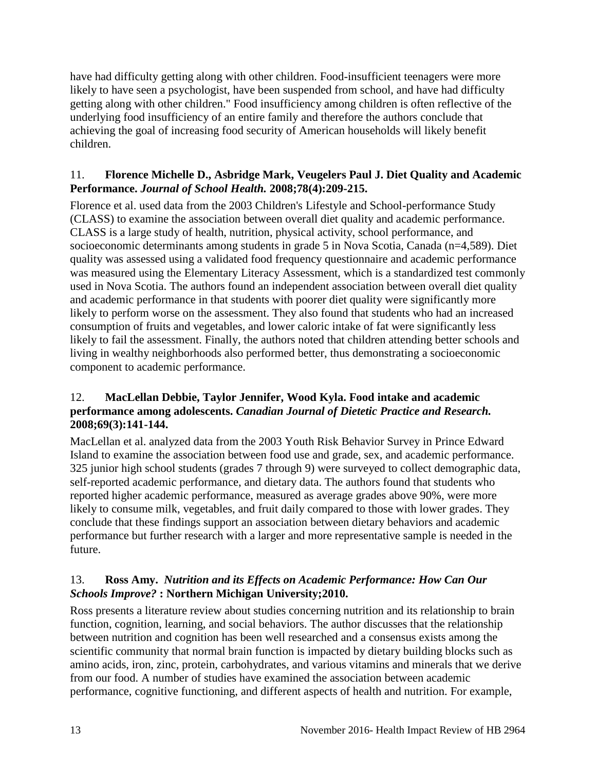have had difficulty getting along with other children. Food-insufficient teenagers were more likely to have seen a psychologist, have been suspended from school, and have had difficulty getting along with other children." Food insufficiency among children is often reflective of the underlying food insufficiency of an entire family and therefore the authors conclude that achieving the goal of increasing food security of American households will likely benefit children.

#### <span id="page-14-1"></span>11. **Florence Michelle D., Asbridge Mark, Veugelers Paul J. Diet Quality and Academic Performance.** *Journal of School Health.* **2008;78(4):209-215.**

Florence et al. used data from the 2003 Children's Lifestyle and School-performance Study (CLASS) to examine the association between overall diet quality and academic performance. CLASS is a large study of health, nutrition, physical activity, school performance, and socioeconomic determinants among students in grade 5 in Nova Scotia, Canada (n=4,589). Diet quality was assessed using a validated food frequency questionnaire and academic performance was measured using the Elementary Literacy Assessment, which is a standardized test commonly used in Nova Scotia. The authors found an independent association between overall diet quality and academic performance in that students with poorer diet quality were significantly more likely to perform worse on the assessment. They also found that students who had an increased consumption of fruits and vegetables, and lower caloric intake of fat were significantly less likely to fail the assessment. Finally, the authors noted that children attending better schools and living in wealthy neighborhoods also performed better, thus demonstrating a socioeconomic component to academic performance.

#### <span id="page-14-2"></span>12. **MacLellan Debbie, Taylor Jennifer, Wood Kyla. Food intake and academic performance among adolescents.** *Canadian Journal of Dietetic Practice and Research.*  **2008;69(3):141-144.**

MacLellan et al. analyzed data from the 2003 Youth Risk Behavior Survey in Prince Edward Island to examine the association between food use and grade, sex, and academic performance. 325 junior high school students (grades 7 through 9) were surveyed to collect demographic data, self-reported academic performance, and dietary data. The authors found that students who reported higher academic performance, measured as average grades above 90%, were more likely to consume milk, vegetables, and fruit daily compared to those with lower grades. They conclude that these findings support an association between dietary behaviors and academic performance but further research with a larger and more representative sample is needed in the future.

## <span id="page-14-0"></span>13. **Ross Amy.** *Nutrition and its Effects on Academic Performance: How Can Our Schools Improve?* **: Northern Michigan University;2010.**

Ross presents a literature review about studies concerning nutrition and its relationship to brain function, cognition, learning, and social behaviors. The author discusses that the relationship between nutrition and cognition has been well researched and a consensus exists among the scientific community that normal brain function is impacted by dietary building blocks such as amino acids, iron, zinc, protein, carbohydrates, and various vitamins and minerals that we derive from our food. A number of studies have examined the association between academic performance, cognitive functioning, and different aspects of health and nutrition. For example,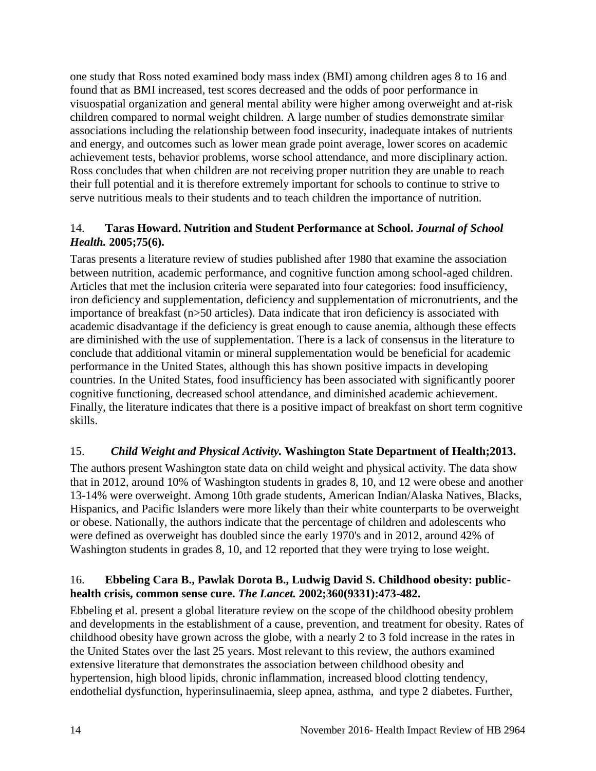one study that Ross noted examined body mass index (BMI) among children ages 8 to 16 and found that as BMI increased, test scores decreased and the odds of poor performance in visuospatial organization and general mental ability were higher among overweight and at-risk children compared to normal weight children. A large number of studies demonstrate similar associations including the relationship between food insecurity, inadequate intakes of nutrients and energy, and outcomes such as lower mean grade point average, lower scores on academic achievement tests, behavior problems, worse school attendance, and more disciplinary action. Ross concludes that when children are not receiving proper nutrition they are unable to reach their full potential and it is therefore extremely important for schools to continue to strive to serve nutritious meals to their students and to teach children the importance of nutrition.

## <span id="page-15-1"></span>14. **Taras Howard. Nutrition and Student Performance at School.** *Journal of School Health.* **2005;75(6).**

Taras presents a literature review of studies published after 1980 that examine the association between nutrition, academic performance, and cognitive function among school-aged children. Articles that met the inclusion criteria were separated into four categories: food insufficiency, iron deficiency and supplementation, deficiency and supplementation of micronutrients, and the importance of breakfast (n>50 articles). Data indicate that iron deficiency is associated with academic disadvantage if the deficiency is great enough to cause anemia, although these effects are diminished with the use of supplementation. There is a lack of consensus in the literature to conclude that additional vitamin or mineral supplementation would be beneficial for academic performance in the United States, although this has shown positive impacts in developing countries. In the United States, food insufficiency has been associated with significantly poorer cognitive functioning, decreased school attendance, and diminished academic achievement. Finally, the literature indicates that there is a positive impact of breakfast on short term cognitive skills.

## <span id="page-15-0"></span>15.*Child Weight and Physical Activity.* **Washington State Department of Health;2013.**

The authors present Washington state data on child weight and physical activity. The data show that in 2012, around 10% of Washington students in grades 8, 10, and 12 were obese and another 13-14% were overweight. Among 10th grade students, American Indian/Alaska Natives, Blacks, Hispanics, and Pacific Islanders were more likely than their white counterparts to be overweight or obese. Nationally, the authors indicate that the percentage of children and adolescents who were defined as overweight has doubled since the early 1970's and in 2012, around 42% of Washington students in grades 8, 10, and 12 reported that they were trying to lose weight.

#### <span id="page-15-2"></span>16. **Ebbeling Cara B., Pawlak Dorota B., Ludwig David S. Childhood obesity: publichealth crisis, common sense cure.** *The Lancet.* **2002;360(9331):473-482.**

Ebbeling et al. present a global literature review on the scope of the childhood obesity problem and developments in the establishment of a cause, prevention, and treatment for obesity. Rates of childhood obesity have grown across the globe, with a nearly 2 to 3 fold increase in the rates in the United States over the last 25 years. Most relevant to this review, the authors examined extensive literature that demonstrates the association between childhood obesity and hypertension, high blood lipids, chronic inflammation, increased blood clotting tendency, endothelial dysfunction, hyperinsulinaemia, sleep apnea, asthma, and type 2 diabetes. Further,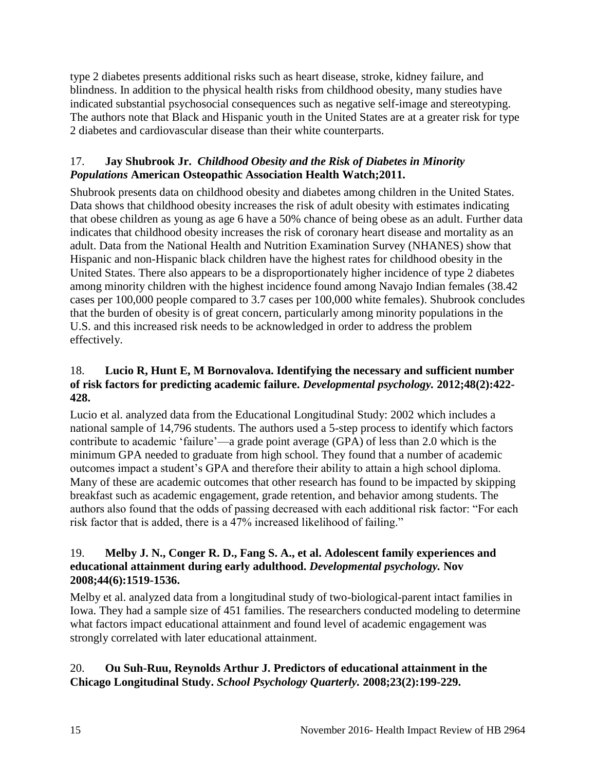type 2 diabetes presents additional risks such as heart disease, stroke, kidney failure, and blindness. In addition to the physical health risks from childhood obesity, many studies have indicated substantial psychosocial consequences such as negative self-image and stereotyping. The authors note that Black and Hispanic youth in the United States are at a greater risk for type 2 diabetes and cardiovascular disease than their white counterparts.

## <span id="page-16-1"></span>17. **Jay Shubrook Jr.** *Childhood Obesity and the Risk of Diabetes in Minority Populations* **American Osteopathic Association Health Watch;2011.**

Shubrook presents data on childhood obesity and diabetes among children in the United States. Data shows that childhood obesity increases the risk of adult obesity with estimates indicating that obese children as young as age 6 have a 50% chance of being obese as an adult. Further data indicates that childhood obesity increases the risk of coronary heart disease and mortality as an adult. Data from the National Health and Nutrition Examination Survey (NHANES) show that Hispanic and non-Hispanic black children have the highest rates for childhood obesity in the United States. There also appears to be a disproportionately higher incidence of type 2 diabetes among minority children with the highest incidence found among Navajo Indian females (38.42 cases per 100,000 people compared to 3.7 cases per 100,000 white females). Shubrook concludes that the burden of obesity is of great concern, particularly among minority populations in the U.S. and this increased risk needs to be acknowledged in order to address the problem effectively.

#### <span id="page-16-0"></span>18. **Lucio R, Hunt E, M Bornovalova. Identifying the necessary and sufficient number of risk factors for predicting academic failure.** *Developmental psychology.* **2012;48(2):422- 428.**

Lucio et al. analyzed data from the Educational Longitudinal Study: 2002 which includes a national sample of 14,796 students. The authors used a 5-step process to identify which factors contribute to academic 'failure'—a grade point average (GPA) of less than 2.0 which is the minimum GPA needed to graduate from high school. They found that a number of academic outcomes impact a student's GPA and therefore their ability to attain a high school diploma. Many of these are academic outcomes that other research has found to be impacted by skipping breakfast such as academic engagement, grade retention, and behavior among students. The authors also found that the odds of passing decreased with each additional risk factor: "For each risk factor that is added, there is a 47% increased likelihood of failing."

#### 19. **Melby J. N., Conger R. D., Fang S. A., et al. Adolescent family experiences and educational attainment during early adulthood.** *Developmental psychology.* **Nov 2008;44(6):1519-1536.**

Melby et al. analyzed data from a longitudinal study of two-biological-parent intact families in Iowa. They had a sample size of 451 families. The researchers conducted modeling to determine what factors impact educational attainment and found level of academic engagement was strongly correlated with later educational attainment.

## 20. **Ou Suh-Ruu, Reynolds Arthur J. Predictors of educational attainment in the Chicago Longitudinal Study.** *School Psychology Quarterly.* **2008;23(2):199-229.**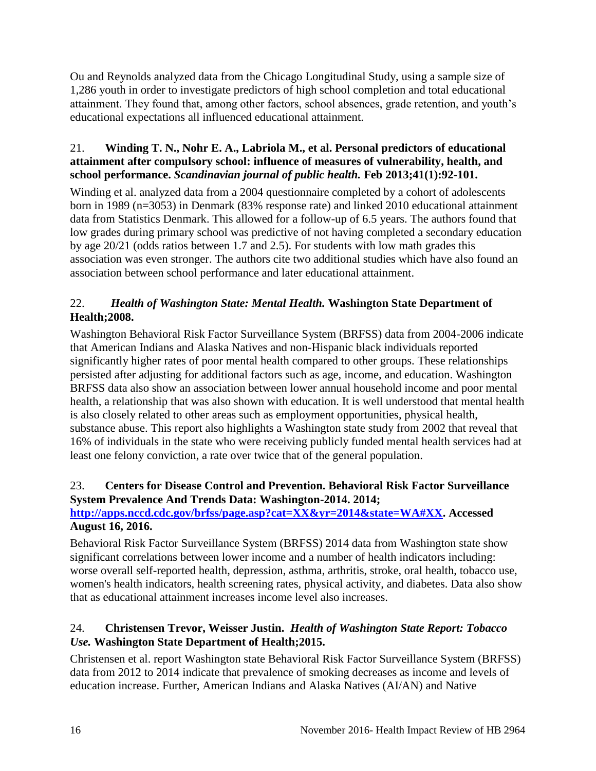Ou and Reynolds analyzed data from the Chicago Longitudinal Study, using a sample size of 1,286 youth in order to investigate predictors of high school completion and total educational attainment. They found that, among other factors, school absences, grade retention, and youth's educational expectations all influenced educational attainment.

## <span id="page-17-2"></span>21. **Winding T. N., Nohr E. A., Labriola M., et al. Personal predictors of educational attainment after compulsory school: influence of measures of vulnerability, health, and school performance.** *Scandinavian journal of public health.* **Feb 2013;41(1):92-101.**

Winding et al. analyzed data from a 2004 questionnaire completed by a cohort of adolescents born in 1989 (n=3053) in Denmark (83% response rate) and linked 2010 educational attainment data from Statistics Denmark. This allowed for a follow-up of 6.5 years. The authors found that low grades during primary school was predictive of not having completed a secondary education by age 20/21 (odds ratios between 1.7 and 2.5). For students with low math grades this association was even stronger. The authors cite two additional studies which have also found an association between school performance and later educational attainment.

## <span id="page-17-0"></span>22.*Health of Washington State: Mental Health.* **Washington State Department of Health;2008.**

Washington Behavioral Risk Factor Surveillance System (BRFSS) data from 2004-2006 indicate that American Indians and Alaska Natives and non-Hispanic black individuals reported significantly higher rates of poor mental health compared to other groups. These relationships persisted after adjusting for additional factors such as age, income, and education. Washington BRFSS data also show an association between lower annual household income and poor mental health, a relationship that was also shown with education. It is well understood that mental health is also closely related to other areas such as employment opportunities, physical health, substance abuse. This report also highlights a Washington state study from 2002 that reveal that 16% of individuals in the state who were receiving publicly funded mental health services had at least one felony conviction, a rate over twice that of the general population.

#### <span id="page-17-1"></span>23. **Centers for Disease Control and Prevention. Behavioral Risk Factor Surveillance System Prevalence And Trends Data: Washington-2014. 2014;**

## **[http://apps.nccd.cdc.gov/brfss/page.asp?cat=XX&yr=2014&state=WA#XX.](http://apps.nccd.cdc.gov/brfss/page.asp?cat=XX&yr=2014&state=WA#XX) Accessed August 16, 2016.**

Behavioral Risk Factor Surveillance System (BRFSS) 2014 data from Washington state show significant correlations between lower income and a number of health indicators including: worse overall self-reported health, depression, asthma, arthritis, stroke, oral health, tobacco use, women's health indicators, health screening rates, physical activity, and diabetes. Data also show that as educational attainment increases income level also increases.

## <span id="page-17-3"></span>24. **Christensen Trevor, Weisser Justin.** *Health of Washington State Report: Tobacco Use.* **Washington State Department of Health;2015.**

Christensen et al. report Washington state Behavioral Risk Factor Surveillance System (BRFSS) data from 2012 to 2014 indicate that prevalence of smoking decreases as income and levels of education increase. Further, American Indians and Alaska Natives (AI/AN) and Native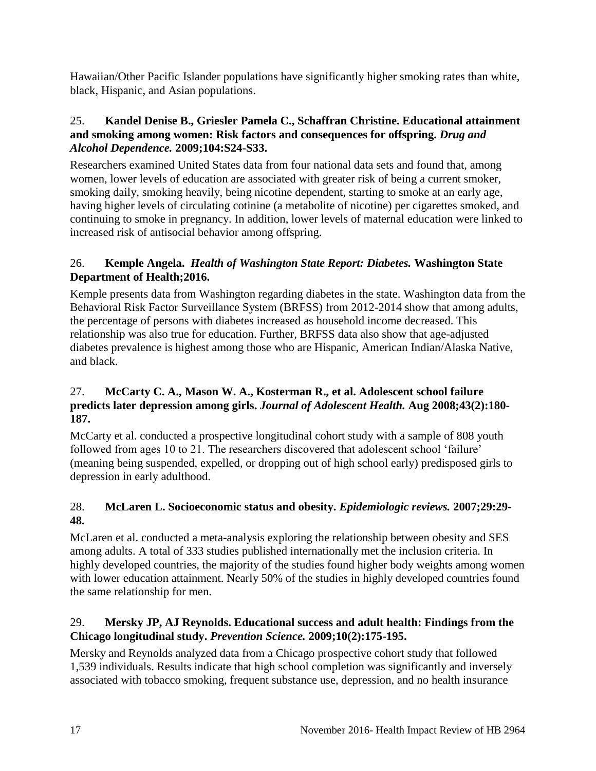Hawaiian/Other Pacific Islander populations have significantly higher smoking rates than white, black, Hispanic, and Asian populations.

#### 25. **Kandel Denise B., Griesler Pamela C., Schaffran Christine. Educational attainment and smoking among women: Risk factors and consequences for offspring.** *Drug and Alcohol Dependence.* **2009;104:S24-S33.**

Researchers examined United States data from four national data sets and found that, among women, lower levels of education are associated with greater risk of being a current smoker, smoking daily, smoking heavily, being nicotine dependent, starting to smoke at an early age, having higher levels of circulating cotinine (a metabolite of nicotine) per cigarettes smoked, and continuing to smoke in pregnancy. In addition, lower levels of maternal education were linked to increased risk of antisocial behavior among offspring.

## <span id="page-18-0"></span>26. **Kemple Angela.** *Health of Washington State Report: Diabetes.* **Washington State Department of Health;2016.**

Kemple presents data from Washington regarding diabetes in the state. Washington data from the Behavioral Risk Factor Surveillance System (BRFSS) from 2012-2014 show that among adults, the percentage of persons with diabetes increased as household income decreased. This relationship was also true for education. Further, BRFSS data also show that age-adjusted diabetes prevalence is highest among those who are Hispanic, American Indian/Alaska Native, and black.

#### 27. **McCarty C. A., Mason W. A., Kosterman R., et al. Adolescent school failure predicts later depression among girls.** *Journal of Adolescent Health.* **Aug 2008;43(2):180- 187.**

McCarty et al. conducted a prospective longitudinal cohort study with a sample of 808 youth followed from ages 10 to 21. The researchers discovered that adolescent school 'failure' (meaning being suspended, expelled, or dropping out of high school early) predisposed girls to depression in early adulthood.

## 28. **McLaren L. Socioeconomic status and obesity.** *Epidemiologic reviews.* **2007;29:29- 48.**

McLaren et al. conducted a meta-analysis exploring the relationship between obesity and SES among adults. A total of 333 studies published internationally met the inclusion criteria. In highly developed countries, the majority of the studies found higher body weights among women with lower education attainment. Nearly 50% of the studies in highly developed countries found the same relationship for men.

## 29. **Mersky JP, AJ Reynolds. Educational success and adult health: Findings from the Chicago longitudinal study.** *Prevention Science.* **2009;10(2):175-195.**

Mersky and Reynolds analyzed data from a Chicago prospective cohort study that followed 1,539 individuals. Results indicate that high school completion was significantly and inversely associated with tobacco smoking, frequent substance use, depression, and no health insurance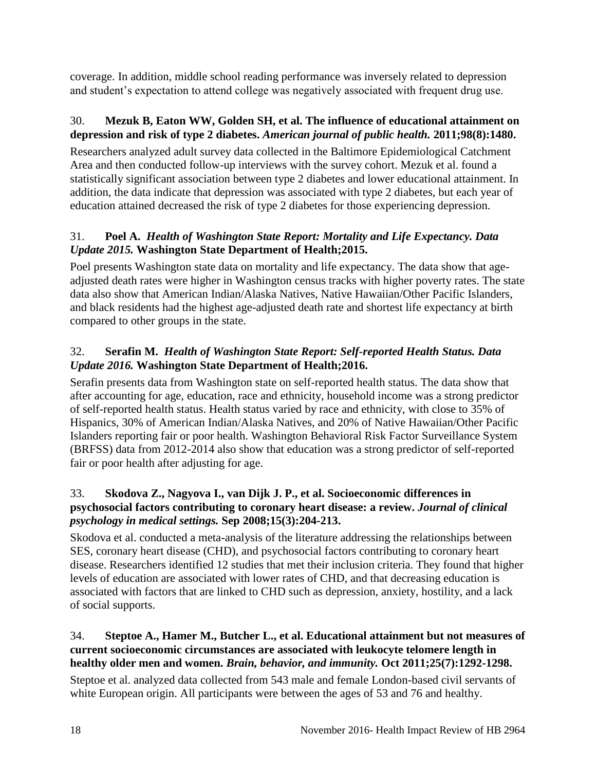coverage. In addition, middle school reading performance was inversely related to depression and student's expectation to attend college was negatively associated with frequent drug use.

## 30. **Mezuk B, Eaton WW, Golden SH, et al. The influence of educational attainment on depression and risk of type 2 diabetes.** *American journal of public health.* **2011;98(8):1480.**

Researchers analyzed adult survey data collected in the Baltimore Epidemiological Catchment Area and then conducted follow-up interviews with the survey cohort. Mezuk et al. found a statistically significant association between type 2 diabetes and lower educational attainment. In addition, the data indicate that depression was associated with type 2 diabetes, but each year of education attained decreased the risk of type 2 diabetes for those experiencing depression.

## <span id="page-19-0"></span>31. **Poel A.** *Health of Washington State Report: Mortality and Life Expectancy. Data Update 2015.* **Washington State Department of Health;2015.**

Poel presents Washington state data on mortality and life expectancy. The data show that ageadjusted death rates were higher in Washington census tracks with higher poverty rates. The state data also show that American Indian/Alaska Natives, Native Hawaiian/Other Pacific Islanders, and black residents had the highest age-adjusted death rate and shortest life expectancy at birth compared to other groups in the state.

## <span id="page-19-1"></span>32. **Serafin M.** *Health of Washington State Report: Self-reported Health Status. Data Update 2016.* **Washington State Department of Health;2016.**

Serafin presents data from Washington state on self-reported health status. The data show that after accounting for age, education, race and ethnicity, household income was a strong predictor of self-reported health status. Health status varied by race and ethnicity, with close to 35% of Hispanics, 30% of American Indian/Alaska Natives, and 20% of Native Hawaiian/Other Pacific Islanders reporting fair or poor health. Washington Behavioral Risk Factor Surveillance System (BRFSS) data from 2012-2014 also show that education was a strong predictor of self-reported fair or poor health after adjusting for age.

#### 33. **Skodova Z., Nagyova I., van Dijk J. P., et al. Socioeconomic differences in psychosocial factors contributing to coronary heart disease: a review.** *Journal of clinical psychology in medical settings.* **Sep 2008;15(3):204-213.**

Skodova et al. conducted a meta-analysis of the literature addressing the relationships between SES, coronary heart disease (CHD), and psychosocial factors contributing to coronary heart disease. Researchers identified 12 studies that met their inclusion criteria. They found that higher levels of education are associated with lower rates of CHD, and that decreasing education is associated with factors that are linked to CHD such as depression, anxiety, hostility, and a lack of social supports.

#### 34. **Steptoe A., Hamer M., Butcher L., et al. Educational attainment but not measures of current socioeconomic circumstances are associated with leukocyte telomere length in healthy older men and women.** *Brain, behavior, and immunity.* **Oct 2011;25(7):1292-1298.**

Steptoe et al. analyzed data collected from 543 male and female London-based civil servants of white European origin. All participants were between the ages of 53 and 76 and healthy.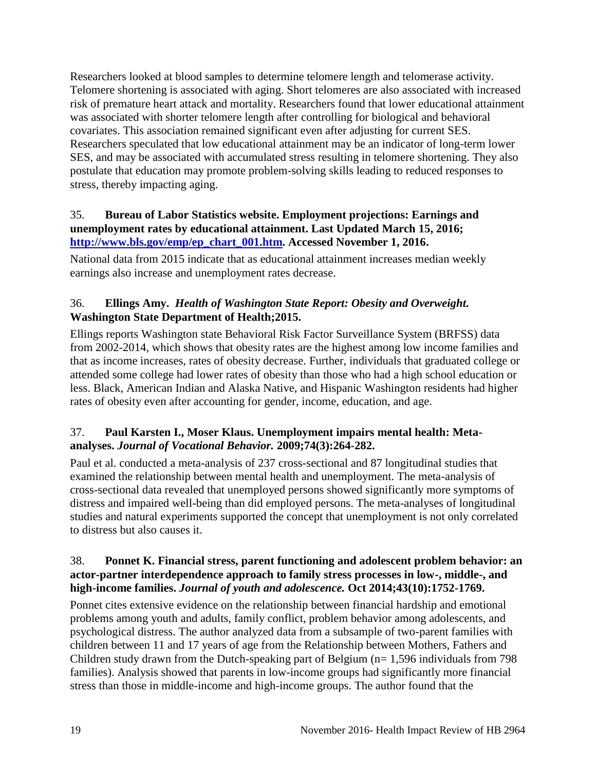Researchers looked at blood samples to determine telomere length and telomerase activity. Telomere shortening is associated with aging. Short telomeres are also associated with increased risk of premature heart attack and mortality. Researchers found that lower educational attainment was associated with shorter telomere length after controlling for biological and behavioral covariates. This association remained significant even after adjusting for current SES. Researchers speculated that low educational attainment may be an indicator of long-term lower SES, and may be associated with accumulated stress resulting in telomere shortening. They also postulate that education may promote problem-solving skills leading to reduced responses to stress, thereby impacting aging.

#### <span id="page-20-0"></span>35. **Bureau of Labor Statistics website. Employment projections: Earnings and unemployment rates by educational attainment. Last Updated March 15, 2016; [http://www.bls.gov/emp/ep\\_chart\\_001.htm.](http://www.bls.gov/emp/ep_chart_001.htm) Accessed November 1, 2016.**

National data from 2015 indicate that as educational attainment increases median weekly earnings also increase and unemployment rates decrease.

## <span id="page-20-1"></span>36. **Ellings Amy.** *Health of Washington State Report: Obesity and Overweight.* **Washington State Department of Health;2015.**

Ellings reports Washington state Behavioral Risk Factor Surveillance System (BRFSS) data from 2002-2014, which shows that obesity rates are the highest among low income families and that as income increases, rates of obesity decrease. Further, individuals that graduated college or attended some college had lower rates of obesity than those who had a high school education or less. Black, American Indian and Alaska Native, and Hispanic Washington residents had higher rates of obesity even after accounting for gender, income, education, and age.

## 37. **Paul Karsten I., Moser Klaus. Unemployment impairs mental health: Metaanalyses.** *Journal of Vocational Behavior.* **2009;74(3):264-282.**

Paul et al. conducted a meta-analysis of 237 cross-sectional and 87 longitudinal studies that examined the relationship between mental health and unemployment. The meta-analysis of cross-sectional data revealed that unemployed persons showed significantly more symptoms of distress and impaired well-being than did employed persons. The meta-analyses of longitudinal studies and natural experiments supported the concept that unemployment is not only correlated to distress but also causes it.

#### <span id="page-20-2"></span>38. **Ponnet K. Financial stress, parent functioning and adolescent problem behavior: an actor-partner interdependence approach to family stress processes in low-, middle-, and high-income families.** *Journal of youth and adolescence.* **Oct 2014;43(10):1752-1769.**

Ponnet cites extensive evidence on the relationship between financial hardship and emotional problems among youth and adults, family conflict, problem behavior among adolescents, and psychological distress. The author analyzed data from a subsample of two-parent families with children between 11 and 17 years of age from the Relationship between Mothers, Fathers and Children study drawn from the Dutch-speaking part of Belgium ( $n= 1,596$  individuals from 798 families). Analysis showed that parents in low-income groups had significantly more financial stress than those in middle-income and high-income groups. The author found that the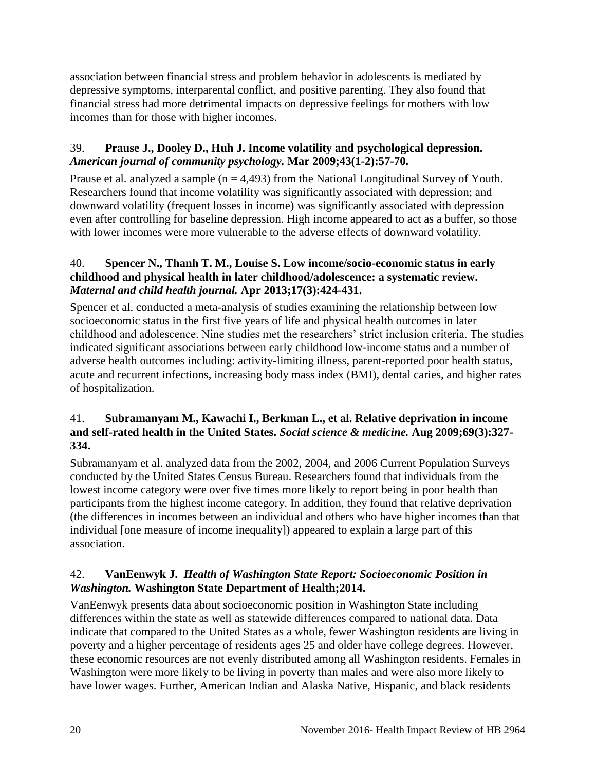association between financial stress and problem behavior in adolescents is mediated by depressive symptoms, interparental conflict, and positive parenting. They also found that financial stress had more detrimental impacts on depressive feelings for mothers with low incomes than for those with higher incomes.

#### <span id="page-21-0"></span>39. **Prause J., Dooley D., Huh J. Income volatility and psychological depression.**  *American journal of community psychology.* **Mar 2009;43(1-2):57-70.**

Prause et al. analyzed a sample  $(n = 4,493)$  from the National Longitudinal Survey of Youth. Researchers found that income volatility was significantly associated with depression; and downward volatility (frequent losses in income) was significantly associated with depression even after controlling for baseline depression. High income appeared to act as a buffer, so those with lower incomes were more vulnerable to the adverse effects of downward volatility.

#### <span id="page-21-2"></span>40. **Spencer N., Thanh T. M., Louise S. Low income/socio-economic status in early childhood and physical health in later childhood/adolescence: a systematic review.**  *Maternal and child health journal.* **Apr 2013;17(3):424-431.**

Spencer et al. conducted a meta-analysis of studies examining the relationship between low socioeconomic status in the first five years of life and physical health outcomes in later childhood and adolescence. Nine studies met the researchers' strict inclusion criteria. The studies indicated significant associations between early childhood low-income status and a number of adverse health outcomes including: activity-limiting illness, parent-reported poor health status, acute and recurrent infections, increasing body mass index (BMI), dental caries, and higher rates of hospitalization.

#### <span id="page-21-1"></span>41. **Subramanyam M., Kawachi I., Berkman L., et al. Relative deprivation in income and self-rated health in the United States.** *Social science & medicine.* **Aug 2009;69(3):327- 334.**

Subramanyam et al. analyzed data from the 2002, 2004, and 2006 Current Population Surveys conducted by the United States Census Bureau. Researchers found that individuals from the lowest income category were over five times more likely to report being in poor health than participants from the highest income category. In addition, they found that relative deprivation (the differences in incomes between an individual and others who have higher incomes than that individual [one measure of income inequality]) appeared to explain a large part of this association.

#### 42. **VanEenwyk J.** *Health of Washington State Report: Socioeconomic Position in Washington.* **Washington State Department of Health;2014.**

VanEenwyk presents data about socioeconomic position in Washington State including differences within the state as well as statewide differences compared to national data. Data indicate that compared to the United States as a whole, fewer Washington residents are living in poverty and a higher percentage of residents ages 25 and older have college degrees. However, these economic resources are not evenly distributed among all Washington residents. Females in Washington were more likely to be living in poverty than males and were also more likely to have lower wages. Further, American Indian and Alaska Native, Hispanic, and black residents